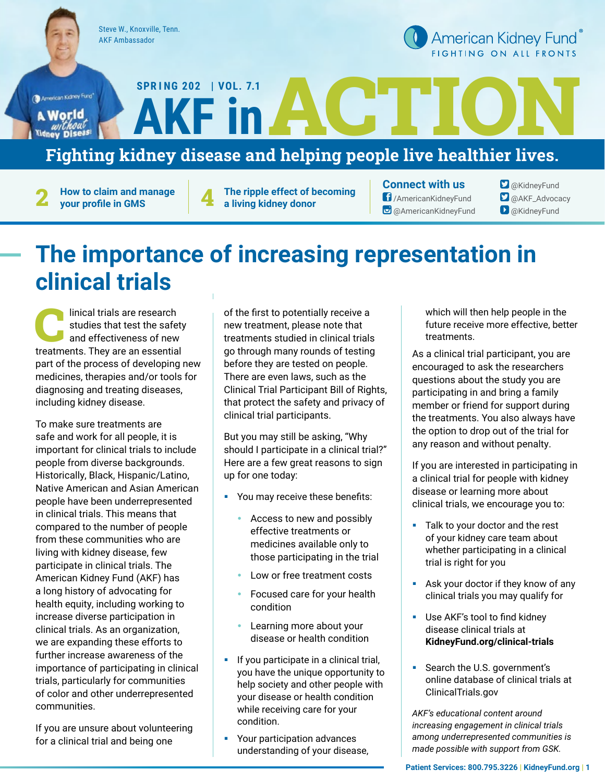Steve W., Knoxville, Tenn. AKF Ambassador

**SPR I NG 2022 | VOL. 7.1**

American Kidney Fund<sup>®</sup> FIGHTING ON ALL FRONTS

American Kidney Fund\* A World

### Fighting kidney disease and helping people live healthier lives. ACTION **AKF in**

**How to claim and manage 2 your profile in GMS**

**The ripple effect of becoming 4 a living kidney donor**

**Connect with us** /AmericanKidneyFund **@** @AmericanKidneyFund

**O** @KidneyFund **D** @AKF\_Advocacy **D** @KidneyFund

## **The importance of increasing representation in clinical trials**

linical trials are research<br>studies that test the safe<br>and effectiveness of new<br>treatments. They are an especifie studies that test the safety and effectiveness of new treatments. They are an essential part of the process of developing new medicines, therapies and/or tools for diagnosing and treating diseases, including kidney disease.

To make sure treatments are safe and work for all people, it is important for clinical trials to include people from diverse backgrounds. Historically, Black, Hispanic/Latino, Native American and Asian American people have been underrepresented in clinical trials. This means that compared to the number of people from these communities who are living with kidney disease, few participate in clinical trials. The American Kidney Fund (AKF) has a long history of advocating for health equity, including working to increase diverse participation in clinical trials. As an organization, we are expanding these efforts to further increase awareness of the importance of participating in clinical trials, particularly for communities of color and other underrepresented communities.

If you are unsure about volunteering for a clinical trial and being one

of the first to potentially receive a new treatment, please note that treatments studied in clinical trials go through many rounds of testing before they are tested on people. There are even laws, such as the Clinical Trial Participant Bill of Rights, that protect the safety and privacy of clinical trial participants.

But you may still be asking, "Why should I participate in a clinical trial?" Here are a few great reasons to sign up for one today:

- § You may receive these benefits:
	- Access to new and possibly effective treatments or medicines available only to those participating in the trial
	- Low or free treatment costs
	- Focused care for your health condition
	- Learning more about your disease or health condition
- If you participate in a clinical trial, you have the unique opportunity to help society and other people with your disease or health condition while receiving care for your condition.
- Your participation advances understanding of your disease,

which will then help people in the future receive more effective, better treatments.

As a clinical trial participant, you are encouraged to ask the researchers questions about the study you are participating in and bring a family member or friend for support during the treatments. You also always have the option to drop out of the trial for any reason and without penalty.

If you are interested in participating in a clinical trial for people with kidney disease or learning more about clinical trials, we encourage you to:

- Talk to your doctor and the rest of your kidney care team about whether participating in a clinical trial is right for you
- Ask your doctor if they know of any clinical trials you may qualify for
- **■** Use AKF's tool to find kidney disease clinical trials at **KidneyFund.org/clinical-trials**
- § Search the U.S. government's online database of clinical trials at ClinicalTrials.gov

*AKF's educational content around increasing engagement in clinical trials among underrepresented communities is made possible with support from GSK.*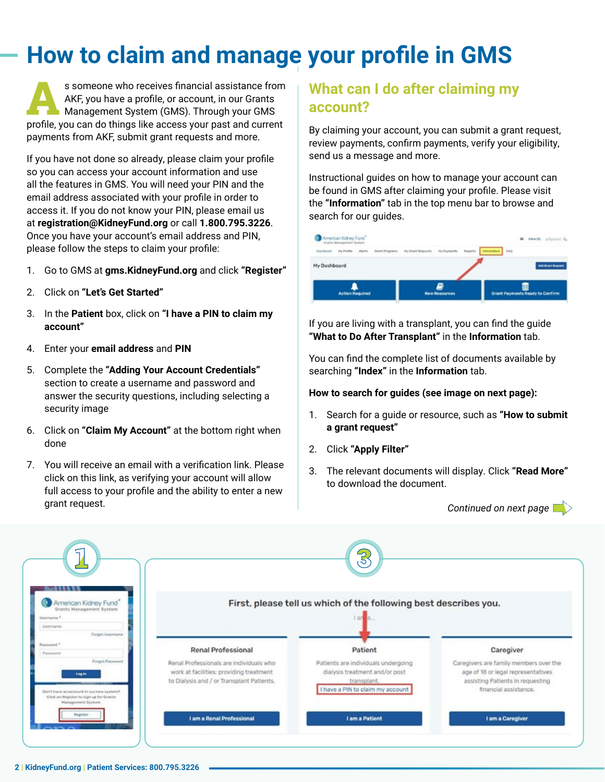# **How to claim and manage your profile in GMS**

s someone who receives financial assistance from<br>AKF, you have a profile, or account, in our Grants<br>Management System (GMS). Through your GMS<br>profile you can do things like accose your past and oursert AKF, you have a profile, or account, in our Grants profile, you can do things like access your past and current payments from AKF, submit grant requests and more.

If you have not done so already, please claim your profile so you can access your account information and use all the features in GMS. You will need your PIN and the email address associated with your profile in order to access it. If you do not know your PIN, please email us at **registration@KidneyFund.org** or call **1.800.795.3226**. Once you have your account's email address and PIN, please follow the steps to claim your profile:

- 1. Go to GMS at **gms.KidneyFund.org** and click **"Register"**
- 2. Click on **"Let's Get Started"**
- 3. In the **Patient** box, click on **"I have a PIN to claim my account"**
- 4. Enter your **email address** and **PIN**
- 5. Complete the **"Adding Your Account Credentials"** section to create a username and password and answer the security questions, including selecting a security image
- 6. Click on **"Claim My Account"** at the bottom right when done
- 7. You will receive an email with a verification link. Please click on this link, as verifying your account will allow full access to your profile and the ability to enter a new grant request.

### **What can I do after claiming my account?**

By claiming your account, you can submit a grant request, review payments, confirm payments, verify your eligibility, send us a message and more.

Instructional guides on how to manage your account can be found in GMS after claiming your profile. Please visit the **"Information"** tab in the top menu bar to browse and search for our guides.



If you are living with a transplant, you can find the guide **"What to Do After Transplant"** in the **Information** tab.

You can find the complete list of documents available by searching **"Index"** in the **Information** tab.

#### **How to search for guides (see image on next page):**

- 1. Search for a guide or resource, such as **"How to submit a grant request"**
- 2. Click **"Apply Filter"**
- 3. The relevant documents will display. Click **"Read More"** to download the document.

*Continued on next page*

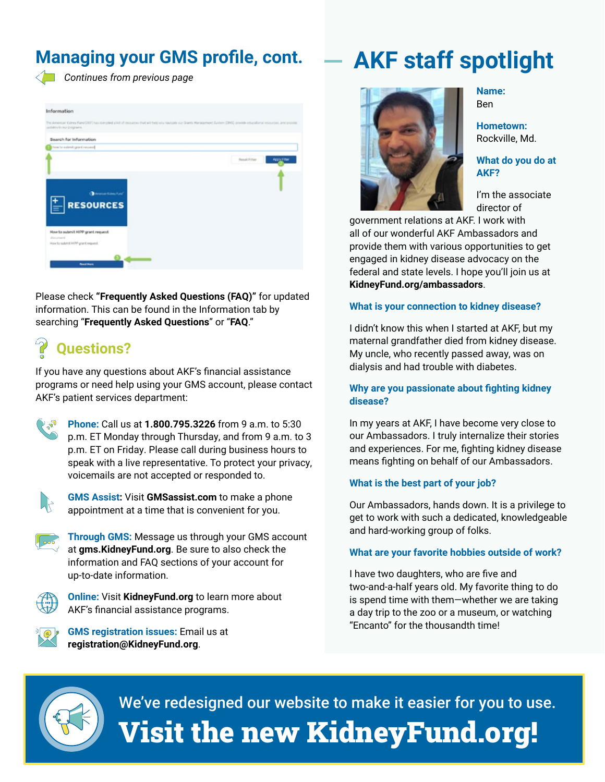### **Managing your GMS profile, cont.**



 *Continues from previous page*

| The American Gibney Fund (2021) has compled a list of resources that will help you having the careful Management System (2002), provide schedulished resources, and provide<br>variation for our programs.<br>Search for Information<br>Departure Internal detailers of acceler |  |  |                                      |
|---------------------------------------------------------------------------------------------------------------------------------------------------------------------------------------------------------------------------------------------------------------------------------|--|--|--------------------------------------|
|                                                                                                                                                                                                                                                                                 |  |  | <b>Result Filter</b><br>Apply Filter |
|                                                                                                                                                                                                                                                                                 |  |  |                                      |
|                                                                                                                                                                                                                                                                                 |  |  |                                      |
| <b>Chemic Konstant</b>                                                                                                                                                                                                                                                          |  |  |                                      |
| <b>RESOURCES</b>                                                                                                                                                                                                                                                                |  |  |                                      |
|                                                                                                                                                                                                                                                                                 |  |  |                                      |
|                                                                                                                                                                                                                                                                                 |  |  |                                      |
| How to submit HIPP grant request<br>ductionant                                                                                                                                                                                                                                  |  |  |                                      |
| Row for submit HIPP grant request                                                                                                                                                                                                                                               |  |  |                                      |

Please check **"Frequently Asked Questions (FAQ)"** for updated information. This can be found in the Information tab by searching "**Frequently Asked Questions**" or "**FAQ**."

## **Questions?**

If you have any questions about AKF's financial assistance programs or need help using your GMS account, please contact AKF's patient services department:





**GMS Assist:** Visit **GMSassist.com** to make a phone appointment at a time that is convenient for you.

**Through GMS:** Message us through your GMS account at **gms.KidneyFund.org**. Be sure to also check the information and FAQ sections of your account for up-to-date information.



**Online:** Visit **KidneyFund.org** to learn more about AKF's financial assistance programs.



**GMS registration issues:** Email us at **registration@KidneyFund.org**.



**Name:**  Ben

**Hometown:**  Rockville, Md.

**What do you do at AKF?**

I'm the associate director of

government relations at AKF. I work with all of our wonderful AKF Ambassadors and provide them with various opportunities to get engaged in kidney disease advocacy on the federal and state levels. I hope you'll join us at **KidneyFund.org/ambassadors**.

**AKF staff spotlight**

#### **What is your connection to kidney disease?**

I didn't know this when I started at AKF, but my maternal grandfather died from kidney disease. My uncle, who recently passed away, was on dialysis and had trouble with diabetes.

#### **Why are you passionate about fighting kidney disease?**

In my years at AKF, I have become very close to our Ambassadors. I truly internalize their stories and experiences. For me, fighting kidney disease means fighting on behalf of our Ambassadors.

#### **What is the best part of your job?**

Our Ambassadors, hands down. It is a privilege to get to work with such a dedicated, knowledgeable and hard-working group of folks.

#### **What are your favorite hobbies outside of work?**

I have two daughters, who are five and two-and-a-half years old. My favorite thing to do is spend time with them—whether we are taking a day trip to the zoo or a museum, or watching "Encanto" for the thousandth time!



We've redesigned our website to make it easier for you to use. Visit the new KidneyFund.org!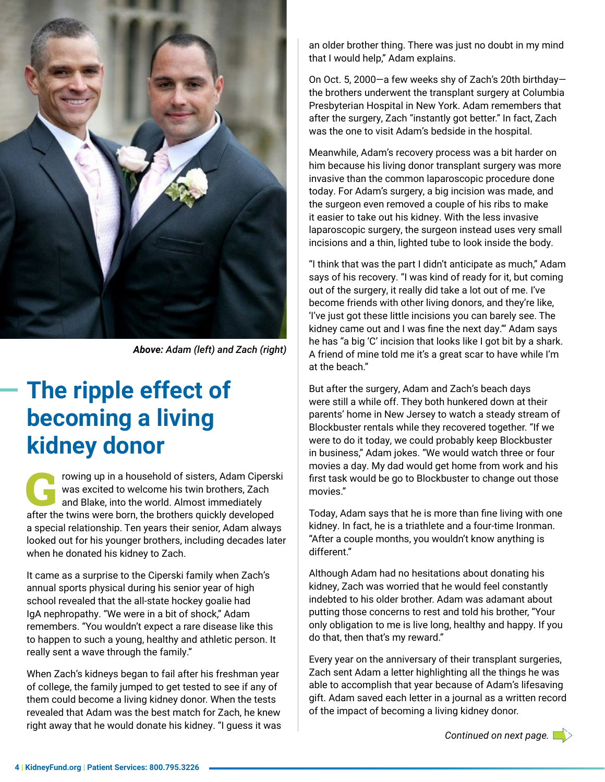

*Above: Adam (left) and Zach (right)*

## **The ripple effect of becoming a living kidney donor**

rowing up in a household of sisters, Adam Ciperski<br>was excited to welcome his twin brothers, Zach<br>and Blake, into the world. Almost immediately<br>ofter the twine were bern the brothere quickly developed was excited to welcome his twin brothers, Zach and Blake, into the world. Almost immediately after the twins were born, the brothers quickly developed a special relationship. Ten years their senior, Adam always looked out for his younger brothers, including decades later when he donated his kidney to Zach.

It came as a surprise to the Ciperski family when Zach's annual sports physical during his senior year of high school revealed that the all-state hockey goalie had IgA nephropathy. "We were in a bit of shock," Adam remembers. "You wouldn't expect a rare disease like this to happen to such a young, healthy and athletic person. It really sent a wave through the family."

When Zach's kidneys began to fail after his freshman year of college, the family jumped to get tested to see if any of them could become a living kidney donor. When the tests revealed that Adam was the best match for Zach, he knew right away that he would donate his kidney. "I guess it was an older brother thing. There was just no doubt in my mind that I would help," Adam explains.

On Oct. 5, 2000—a few weeks shy of Zach's 20th birthday the brothers underwent the transplant surgery at Columbia Presbyterian Hospital in New York. Adam remembers that after the surgery, Zach "instantly got better." In fact, Zach was the one to visit Adam's bedside in the hospital.

Meanwhile, Adam's recovery process was a bit harder on him because his living donor transplant surgery was more invasive than the common laparoscopic procedure done today. For Adam's surgery, a big incision was made, and the surgeon even removed a couple of his ribs to make it easier to take out his kidney. With the less invasive laparoscopic surgery, the surgeon instead uses very small incisions and a thin, lighted tube to look inside the body.

"I think that was the part I didn't anticipate as much," Adam says of his recovery. "I was kind of ready for it, but coming out of the surgery, it really did take a lot out of me. I've become friends with other living donors, and they're like, 'I've just got these little incisions you can barely see. The kidney came out and I was fine the next day.'" Adam says he has "a big 'C' incision that looks like I got bit by a shark. A friend of mine told me it's a great scar to have while I'm at the beach."

But after the surgery, Adam and Zach's beach days were still a while off. They both hunkered down at their parents' home in New Jersey to watch a steady stream of Blockbuster rentals while they recovered together. "If we were to do it today, we could probably keep Blockbuster in business," Adam jokes. "We would watch three or four movies a day. My dad would get home from work and his first task would be go to Blockbuster to change out those movies."

Today, Adam says that he is more than fine living with one kidney. In fact, he is a triathlete and a four-time Ironman. "After a couple months, you wouldn't know anything is different."

Although Adam had no hesitations about donating his kidney, Zach was worried that he would feel constantly indebted to his older brother. Adam was adamant about putting those concerns to rest and told his brother, "Your only obligation to me is live long, healthy and happy. If you do that, then that's my reward."

Every year on the anniversary of their transplant surgeries, Zach sent Adam a letter highlighting all the things he was able to accomplish that year because of Adam's lifesaving gift. Adam saved each letter in a journal as a written record of the impact of becoming a living kidney donor.

*Continued on next page.*

**4 | KidneyFund.org | Patient Services: 800.795.3226**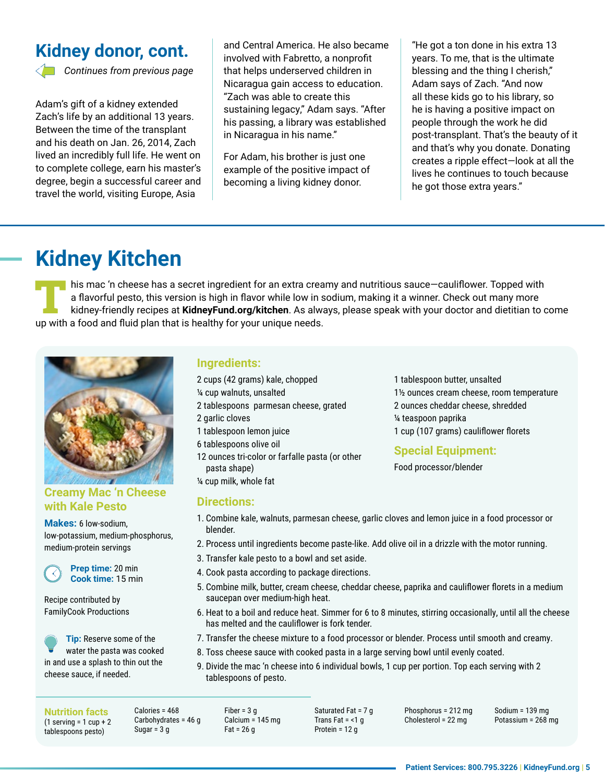### **Kidney donor, cont.**



 *Continues from previous page*

Adam's gift of a kidney extended Zach's life by an additional 13 years. Between the time of the transplant and his death on Jan. 26, 2014, Zach lived an incredibly full life. He went on to complete college, earn his master's degree, begin a successful career and travel the world, visiting Europe, Asia

and Central America. He also became involved with Fabretto, a nonprofit that helps underserved children in Nicaragua gain access to education. "Zach was able to create this sustaining legacy," Adam says. "After his passing, a library was established in Nicaragua in his name."

For Adam, his brother is just one example of the positive impact of becoming a living kidney donor.

"He got a ton done in his extra 13 years. To me, that is the ultimate blessing and the thing I cherish," Adam says of Zach. "And now all these kids go to his library, so he is having a positive impact on people through the work he did post-transplant. That's the beauty of it and that's why you donate. Donating creates a ripple effect—look at all the lives he continues to touch because he got those extra years."

### **Kidney Kitchen**

his mac 'n cheese has a secret ingredient for an extra creamy and nutritious sauce-cauliflower. Topped with a flavorful pesto, this version is high in flavor while low in sodium, making it a winner. Check out many more kidney-friendly recipes at **KidneyFund.org/kitchen**. As always, please speak with your doctor and dietitian to come up with a food and fluid plan that is healthy for your unique needs.



#### **Creamy Mac 'n Cheese with Kale Pesto**

**Makes:** 6 low-sodium, low-potassium, medium-phosphorus, medium-protein servings

**Prep time:** 20 min **Cook time:** 15 min

Recipe contributed by FamilyCook Productions

**Tip:** Reserve some of the water the pasta was cooked in and use a splash to thin out the cheese sauce, if needed.

#### **Ingredients:**

- 2 cups (42 grams) kale, chopped
- ¼ cup walnuts, unsalted
- 2 tablespoons parmesan cheese, grated
- 2 garlic cloves
- 1 tablespoon lemon juice
- 6 tablespoons olive oil
- 12 ounces tri-color or farfalle pasta (or other pasta shape)
- ¼ cup milk, whole fat

#### **Directions:**

- 1 tablespoon butter, unsalted 1½ ounces cream cheese, room temperature 2 ounces cheddar cheese, shredded ¼ teaspoon paprika 1 cup (107 grams) cauliflower florets
- **Special Equipment:**

Food processor/blender

- 1. Combine kale, walnuts, parmesan cheese, garlic cloves and lemon juice in a food processor or blender.
- 2. Process until ingredients become paste-like. Add olive oil in a drizzle with the motor running.
- 3. Transfer kale pesto to a bowl and set aside.
- 4. Cook pasta according to package directions.
- 5. Combine milk, butter, cream cheese, cheddar cheese, paprika and cauliflower florets in a medium saucepan over medium-high heat.
- 6. Heat to a boil and reduce heat. Simmer for 6 to 8 minutes, stirring occasionally, until all the cheese has melted and the cauliflower is fork tender.
- 7. Transfer the cheese mixture to a food processor or blender. Process until smooth and creamy.
- 8. Toss cheese sauce with cooked pasta in a large serving bowl until evenly coated.
- 9. Divide the mac 'n cheese into 6 individual bowls, 1 cup per portion. Top each serving with 2 tablespoons of pesto.

**Nutrition facts**  $(1$  serving = 1 cup + 2 tablespoons pesto)

Calories = 468 Carbohydrates = 46 g Sugar =  $3<sub>q</sub>$ 

Fiber =  $3<sub>q</sub>$ Calcium = 145 mg  $Fat = 26 g$ 

Saturated Fat = 7 g Trans Fat  $=$  <1  $\alpha$ Protein = 12 g

Phosphorus = 212 mg Cholesterol = 22 mg

Sodium = 139 mg Potassium = 268 mg